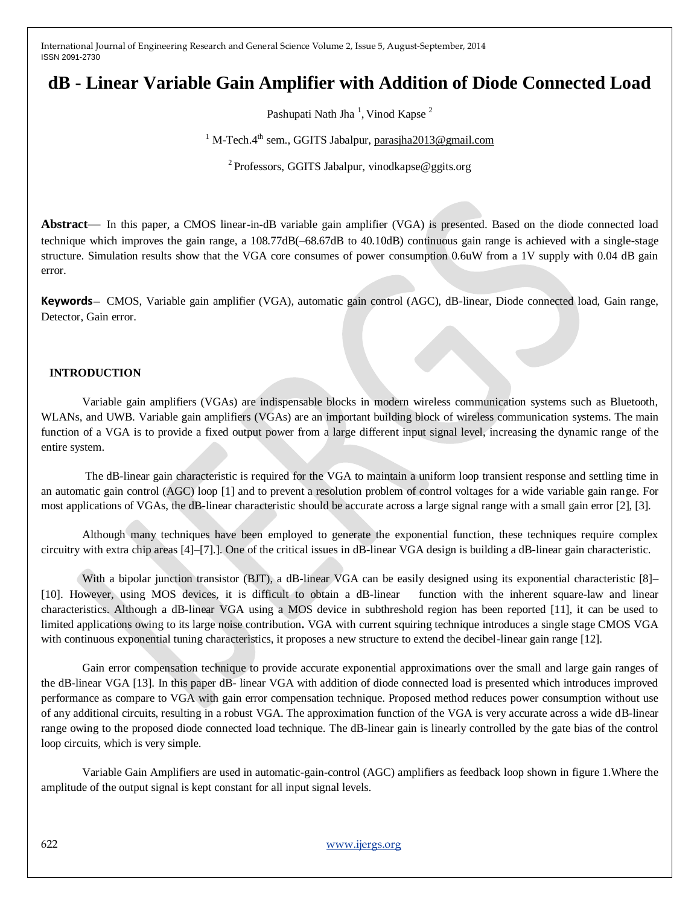# **dB - Linear Variable Gain Amplifier with Addition of Diode Connected Load**

Pashupati Nath Jha<sup>1</sup>, Vinod Kapse<sup>2</sup>

<sup>1</sup> M-Tech.4<sup>th</sup> sem., GGITS Jabalpur, [parasjha2013@gmail.com](mailto:parasjha2013@gmail.com)

<sup>2</sup> Professors, GGITS Jabalpur, vinodkapse@ggits.org

**Abstract**— In this paper, a CMOS linear-in-dB variable gain amplifier (VGA) is presented. Based on the diode connected load technique which improves the gain range, a 108.77dB(–68.67dB to 40.10dB) continuous gain range is achieved with a single-stage structure. Simulation results show that the VGA core consumes of power consumption 0.6uW from a 1V supply with 0.04 dB gain error.

**Keywords**— CMOS, Variable gain amplifier (VGA), automatic gain control (AGC), dB-linear, Diode connected load, Gain range, Detector, Gain error.

#### **INTRODUCTION**

Variable gain amplifiers (VGAs) are indispensable blocks in modern wireless communication systems such as Bluetooth, WLANs, and UWB. Variable gain amplifiers (VGAs) are an important building block of wireless communication systems. The main function of a VGA is to provide a fixed output power from a large different input signal level, increasing the dynamic range of the entire system.

The dB-linear gain characteristic is required for the VGA to maintain a uniform loop transient response and settling time in an automatic gain control (AGC) loop [1] and to prevent a resolution problem of control voltages for a wide variable gain range. For most applications of VGAs, the dB-linear characteristic should be accurate across a large signal range with a small gain error [2], [3].

Although many techniques have been employed to generate the exponential function, these techniques require complex circuitry with extra chip areas [4]–[7].]. One of the critical issues in dB-linear VGA design is building a dB-linear gain characteristic.

With a bipolar junction transistor (BJT), a dB-linear VGA can be easily designed using its exponential characteristic [8]– [10]. However, using MOS devices, it is difficult to obtain a dB-linear function with the inherent square-law and linear characteristics. Although a dB-linear VGA using a MOS device in subthreshold region has been reported [11], it can be used to limited applications owing to its large noise contribution**.** VGA with current squiring technique introduces a single stage CMOS VGA with continuous exponential tuning characteristics, it proposes a new structure to extend the decibel-linear gain range [12].

Gain error compensation technique to provide accurate exponential approximations over the small and large gain ranges of the dB-linear VGA [13]. In this paper dB- linear VGA with addition of diode connected load is presented which introduces improved performance as compare to VGA with gain error compensation technique. Proposed method reduces power consumption without use of any additional circuits, resulting in a robust VGA. The approximation function of the VGA is very accurate across a wide dB-linear range owing to the proposed diode connected load technique. The dB-linear gain is linearly controlled by the gate bias of the control loop circuits, which is very simple.

Variable Gain Amplifiers are used in automatic-gain-control (AGC) amplifiers as feedback loop shown in figure 1.Where the amplitude of the output signal is kept constant for all input signal levels.

622 [www.ijergs.org](http://www.ijergs.org/)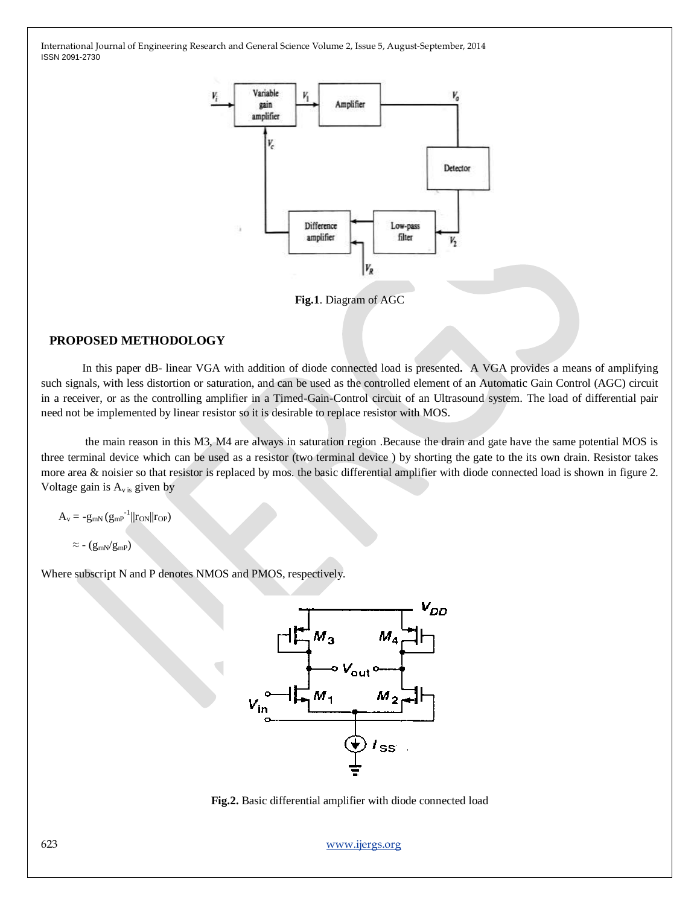

**Fig.1**. Diagram of AGC

### **PROPOSED METHODOLOGY**

In this paper dB- linear VGA with addition of diode connected load is presented**.** A VGA provides a means of amplifying such signals, with less distortion or saturation, and can be used as the controlled element of an Automatic Gain Control (AGC) circuit in a receiver, or as the controlling amplifier in a Timed-Gain-Control circuit of an Ultrasound system. The load of differential pair need not be implemented by linear resistor so it is desirable to replace resistor with MOS.

the main reason in this M3, M4 are always in saturation region .Because the drain and gate have the same potential MOS is three terminal device which can be used as a resistor (two terminal device ) by shorting the gate to the its own drain. Resistor takes more area & noisier so that resistor is replaced by mos. the basic differential amplifier with diode connected load is shown in figure 2. Voltage gain is  $A_{\rm vis}$  given by

 $A_v = -g_{mN} (g_{mP}^{-1} || r_{ON} || r_{OP})$ 

 $\approx$  - (g<sub>mN</sub>/g<sub>mP</sub>)

Where subscript N and P denotes NMOS and PMOS, respectively.



**Fig.2.** Basic differential amplifier with diode connected load

623 [www.ijergs.org](http://www.ijergs.org/)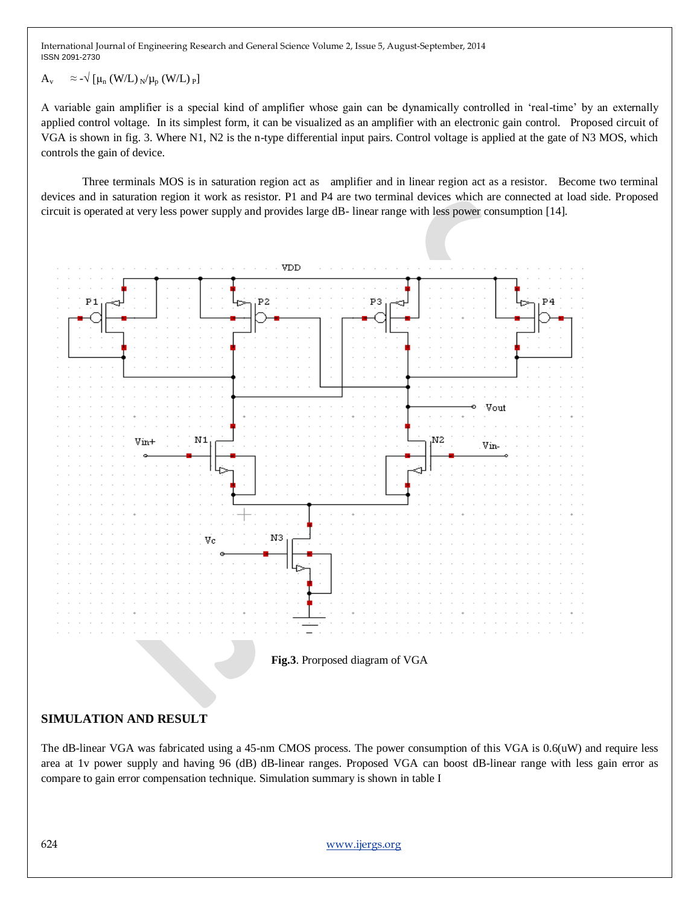# $A_v \approx -\sqrt{\left[\mu_n (W/L)_{N}/\mu_n (W/L)\right] p}$

A variable gain amplifier is a special kind of amplifier whose gain can be dynamically controlled in 'real-time' by an externally applied control voltage. In its simplest form, it can be visualized as an amplifier with an electronic gain control. Proposed circuit of VGA is shown in fig. 3. Where N1, N2 is the n-type differential input pairs. Control voltage is applied at the gate of N3 MOS, which controls the gain of device.

Three terminals MOS is in saturation region act as amplifier and in linear region act as a resistor. Become two terminal devices and in saturation region it work as resistor. P1 and P4 are two terminal devices which are connected at load side. Proposed circuit is operated at very less power supply and provides large dB- linear range with less power consumption [14].





# **SIMULATION AND RESULT**

The dB-linear VGA was fabricated using a 45-nm CMOS process. The power consumption of this VGA is 0.6(uW) and require less area at 1v power supply and having 96 (dB) dB-linear ranges. Proposed VGA can boost dB-linear range with less gain error as compare to gain error compensation technique. Simulation summary is shown in table I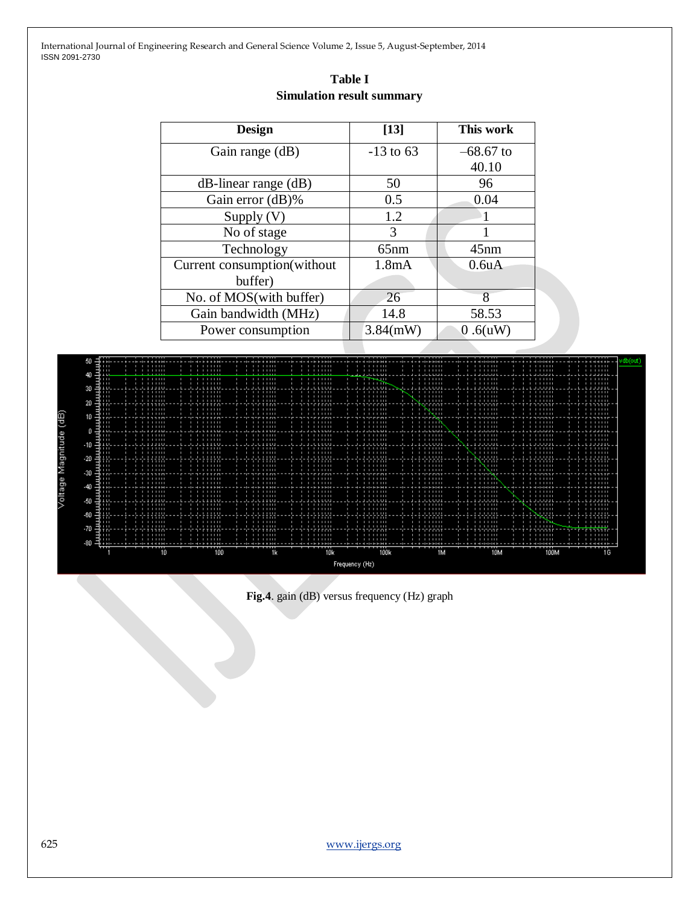| <b>Design</b>               | $[13]$             | This work          |
|-----------------------------|--------------------|--------------------|
| Gain range (dB)             | $-13$ to 63        | $-68.67$ to        |
|                             |                    | 40.10              |
| dB-linear range (dB)        | 50                 | 96                 |
| Gain error (dB)%            | 0.5                | 0.04               |
| Supply $(V)$                | 1.2                |                    |
| No of stage                 | 3                  |                    |
| Technology                  | 65nm               | 45nm               |
| Current consumption(without | 1.8 <sub>m</sub> A | 0.6 <sub>u</sub> A |
| buffer)                     |                    |                    |
| No. of MOS(with buffer)     | 26                 | 8                  |
| Gain bandwidth (MHz)        | 14.8               | 58.53              |
| Power consumption           | $3.84$ (mW)        | 0.6(uW)            |





**Fig.4**. gain (dB) versus frequency (Hz) graph

625 [www.ijergs.org](http://www.ijergs.org/)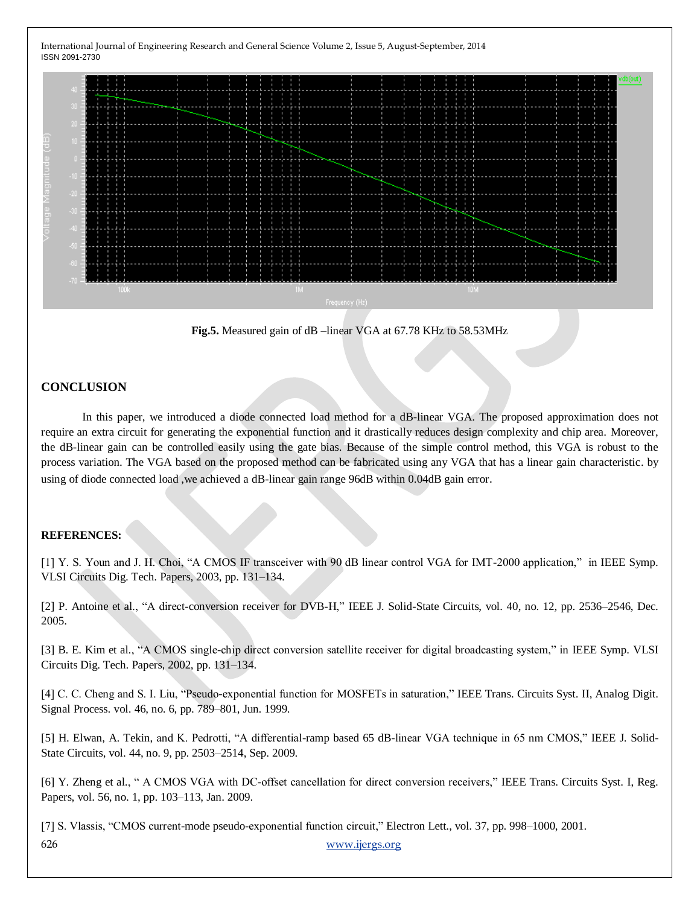

**Fig.5.** Measured gain of dB –linear VGA at 67.78 KHz to 58.53MHz

# **CONCLUSION**

In this paper, we introduced a diode connected load method for a dB-linear VGA. The proposed approximation does not require an extra circuit for generating the exponential function and it drastically reduces design complexity and chip area. Moreover, the dB-linear gain can be controlled easily using the gate bias. Because of the simple control method, this VGA is robust to the process variation. The VGA based on the proposed method can be fabricated using any VGA that has a linear gain characteristic. by using of diode connected load ,we achieved a dB-linear gain range 96dB within 0.04dB gain error.

### **REFERENCES:**

[1] Y. S. Youn and J. H. Choi, "A CMOS IF transceiver with 90 dB linear control VGA for IMT-2000 application," in IEEE Symp. VLSI Circuits Dig. Tech. Papers, 2003, pp. 131–134.

[2] P. Antoine et al., "A direct-conversion receiver for DVB-H," IEEE J. Solid-State Circuits, vol. 40, no. 12, pp. 2536–2546, Dec. 2005.

[3] B. E. Kim et al., "A CMOS single-chip direct conversion satellite receiver for digital broadcasting system," in IEEE Symp. VLSI Circuits Dig. Tech. Papers, 2002, pp. 131–134.

[4] C. C. Cheng and S. I. Liu, "Pseudo-exponential function for MOSFETs in saturation," IEEE Trans. Circuits Syst. II, Analog Digit. Signal Process. vol. 46, no. 6, pp. 789–801, Jun. 1999.

[5] H. Elwan, A. Tekin, and K. Pedrotti, "A differential-ramp based 65 dB-linear VGA technique in 65 nm CMOS," IEEE J. Solid-State Circuits, vol. 44, no. 9, pp. 2503–2514, Sep. 2009.

[6] Y. Zheng et al., "A CMOS VGA with DC-offset cancellation for direct conversion receivers," IEEE Trans. Circuits Syst. I, Reg. Papers, vol. 56, no. 1, pp. 103–113, Jan. 2009.

626 [www.ijergs.org](http://www.ijergs.org/) [7] S. Vlassis, "CMOS current-mode pseudo-exponential function circuit," Electron Lett., vol. 37, pp. 998–1000, 2001.